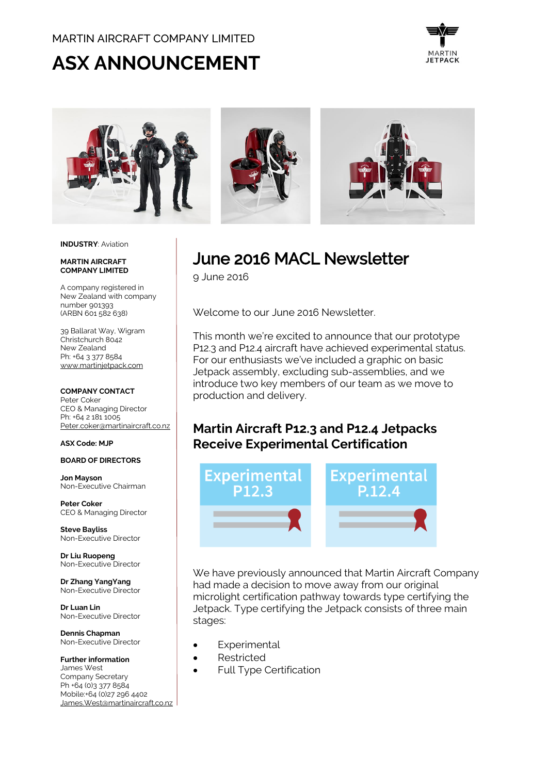#### MARTIN AIRCRAFT COMPANY LIMITED

# **ASX ANNOUNCEMENT**





#### **INDUSTRY**: Aviation

#### **MARTIN AIRCRAFT COMPANY LIMITED**

A company registered in New Zealand with company number 901393 (ARBN 601 582 638)

39 Ballarat Way, Wigram Christchurch 8042 New Zealand Ph: +64 3 377 8584 [www.martinjetpack.com](http://www.martinjetpack.com/)

#### **COMPANY CONTACT**

Peter Coker CEO & Managing Director Ph: +64 2 181 1005 [Peter.coker@martinaircraft.co.nz](mailto:Peter.coker@martinaircraft.co.nz)

#### **ASX Code: MJP**

#### **BOARD OF DIRECTORS**

**Jon Mayson**  Non-Executive Chairman

**Peter Coker**  CEO & Managing Director

**Steve Bayliss** Non-Executive Director

**Dr Liu Ruopeng**  Non-Executive Director

**Dr Zhang YangYang**  Non-Executive Director

**Dr Luan Lin** Non-Executive Director

**Dennis Chapman** Non-Executive Director

**Further information** James West Company Secretary Ph +64 (0)3 377 8584 Mobile:+64 (0)27 296 4402 [James.West@martinaircraft.co.nz](mailto:James.West@martinaircraft.co.nz) June 2016 MACL Newsletter

9 June 2016

Welcome to our June 2016 Newsletter.

This month we're excited to announce that our prototype P12.3 and P12.4 aircraft have achieved experimental status. For our enthusiasts we've included a graphic on basic Jetpack assembly, excluding sub-assemblies, and we introduce two key members of our team as we move to production and delivery.

### **Martin Aircraft P12.3 and P12.4 Jetpacks Receive Experimental Certification**



We have previously announced that Martin Aircraft Company had made a decision to move away from our original microlight certification pathway towards type certifying the Jetpack. Type certifying the Jetpack consists of three main stages:

- **Experimental**
- Restricted
- Full Type Certification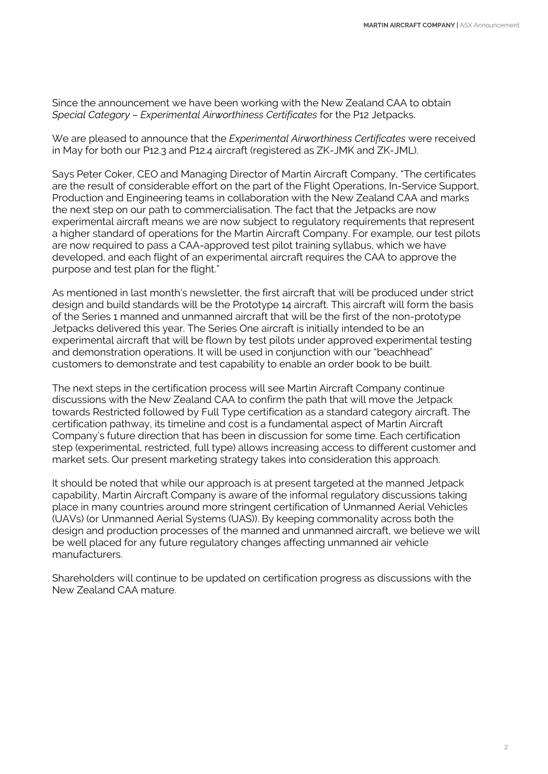Since the announcement we have been working with the New Zealand CAA to obtain *Special Category – Experimental Airworthiness Certificates* for the P12 Jetpacks.

We are pleased to announce that the *Experimental Airworthiness Certificates* were received in May for both our P12.3 and P12.4 aircraft (registered as ZK-JMK and ZK-JML).

Says Peter Coker, CEO and Managing Director of Martin Aircraft Company, "The certificates are the result of considerable effort on the part of the Flight Operations, In-Service Support, Production and Engineering teams in collaboration with the New Zealand CAA and marks the next step on our path to commercialisation. The fact that the Jetpacks are now experimental aircraft means we are now subject to regulatory requirements that represent a higher standard of operations for the Martin Aircraft Company. For example, our test pilots are now required to pass a CAA-approved test pilot training syllabus, which we have developed, and each flight of an experimental aircraft requires the CAA to approve the purpose and test plan for the flight."

As mentioned in last month's newsletter, the first aircraft that will be produced under strict design and build standards will be the Prototype 14 aircraft. This aircraft will form the basis of the Series 1 manned and unmanned aircraft that will be the first of the non-prototype Jetpacks delivered this year. The Series One aircraft is initially intended to be an experimental aircraft that will be flown by test pilots under approved experimental testing and demonstration operations. It will be used in conjunction with our "beachhead" customers to demonstrate and test capability to enable an order book to be built.

The next steps in the certification process will see Martin Aircraft Company continue discussions with the New Zealand CAA to confirm the path that will move the Jetpack towards Restricted followed by Full Type certification as a standard category aircraft. The certification pathway, its timeline and cost is a fundamental aspect of Martin Aircraft Company's future direction that has been in discussion for some time. Each certification step (experimental, restricted, full type) allows increasing access to different customer and market sets. Our present marketing strategy takes into consideration this approach.

It should be noted that while our approach is at present targeted at the manned Jetpack capability, Martin Aircraft Company is aware of the informal regulatory discussions taking place in many countries around more stringent certification of Unmanned Aerial Vehicles (UAVs) (or Unmanned Aerial Systems (UAS)). By keeping commonality across both the design and production processes of the manned and unmanned aircraft, we believe we will be well placed for any future regulatory changes affecting unmanned air vehicle manufacturers.

Shareholders will continue to be updated on certification progress as discussions with the New Zealand CAA mature.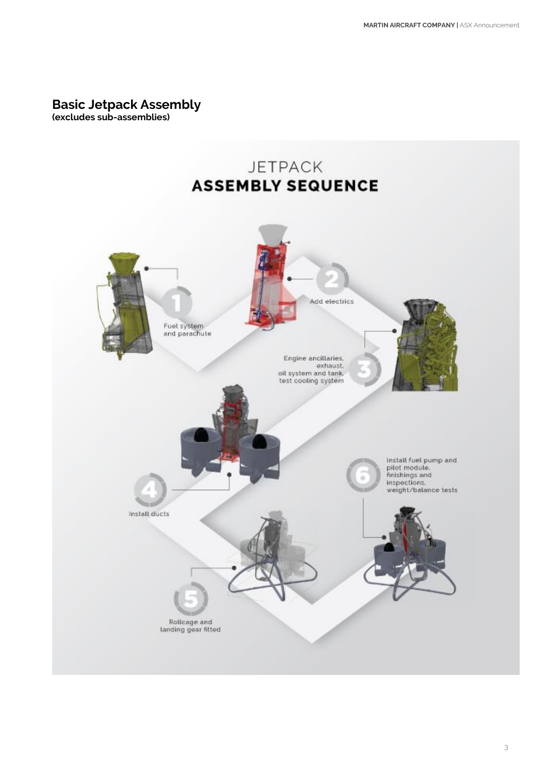### **Basic Jetpack Assembly**

**(excludes sub-assemblies)**

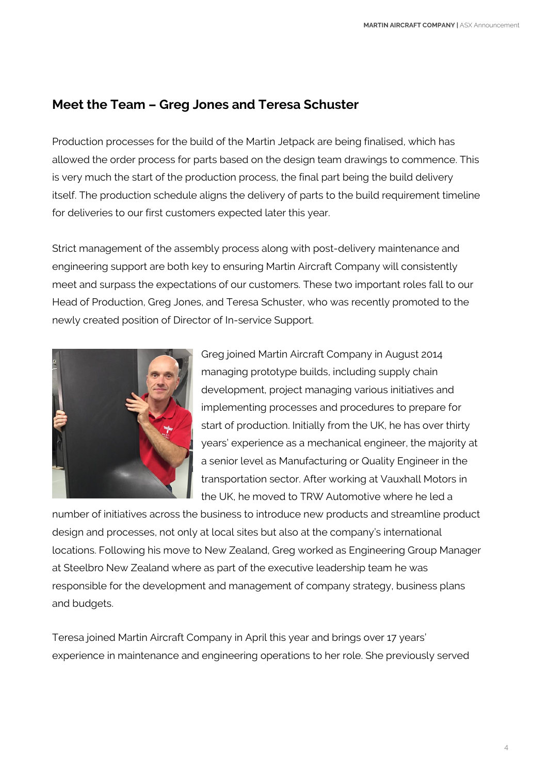## **Meet the Team – Greg Jones and Teresa Schuster**

Production processes for the build of the Martin Jetpack are being finalised, which has allowed the order process for parts based on the design team drawings to commence. This is very much the start of the production process, the final part being the build delivery itself. The production schedule aligns the delivery of parts to the build requirement timeline for deliveries to our first customers expected later this year.

Strict management of the assembly process along with post-delivery maintenance and engineering support are both key to ensuring Martin Aircraft Company will consistently meet and surpass the expectations of our customers. These two important roles fall to our Head of Production, Greg Jones, and Teresa Schuster, who was recently promoted to the newly created position of Director of In-service Support.



Greg joined Martin Aircraft Company in August 2014 managing prototype builds, including supply chain development, project managing various initiatives and implementing processes and procedures to prepare for start of production. Initially from the UK, he has over thirty years' experience as a mechanical engineer, the majority at a senior level as Manufacturing or Quality Engineer in the transportation sector. After working at Vauxhall Motors in the UK, he moved to TRW Automotive where he led a

number of initiatives across the business to introduce new products and streamline product design and processes, not only at local sites but also at the company's international locations. Following his move to New Zealand, Greg worked as Engineering Group Manager at Steelbro New Zealand where as part of the executive leadership team he was responsible for the development and management of company strategy, business plans and budgets.

Teresa joined Martin Aircraft Company in April this year and brings over 17 years' experience in maintenance and engineering operations to her role. She previously served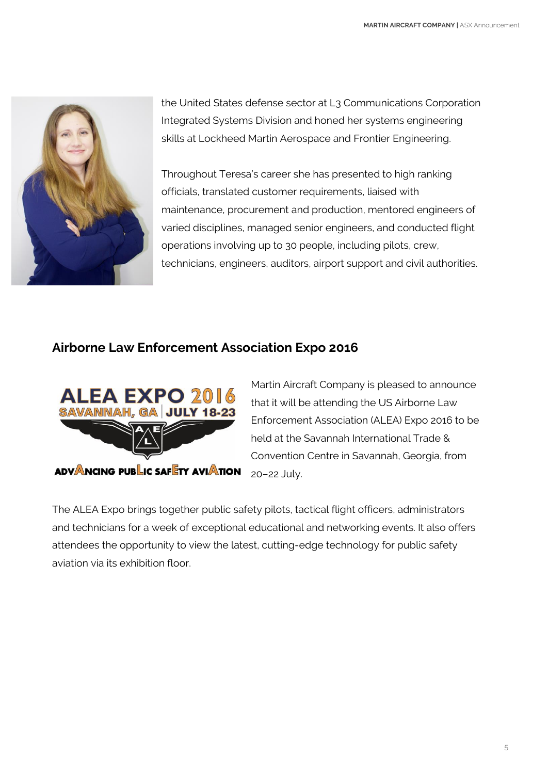

the United States defense sector at L3 Communications Corporation Integrated Systems Division and honed her systems engineering skills at Lockheed Martin Aerospace and Frontier Engineering.

Throughout Teresa's career she has presented to high ranking officials, translated customer requirements, liaised with maintenance, procurement and production, mentored engineers of varied disciplines, managed senior engineers, and conducted flight operations involving up to 30 people, including pilots, crew, technicians, engineers, auditors, airport support and civil authorities.

### **Airborne Law Enforcement Association Expo 2016**



Martin Aircraft Company is pleased to announce that it will be attending the US Airborne Law Enforcement Association (ALEA) Expo 2016 to be held at the Savannah International Trade & Convention Centre in Savannah, Georgia, from 20–22 July.

The ALEA Expo brings together public safety pilots, tactical flight officers, administrators and technicians for a week of exceptional educational and networking events. It also offers attendees the opportunity to view the latest, cutting-edge technology for public safety aviation via its exhibition floor.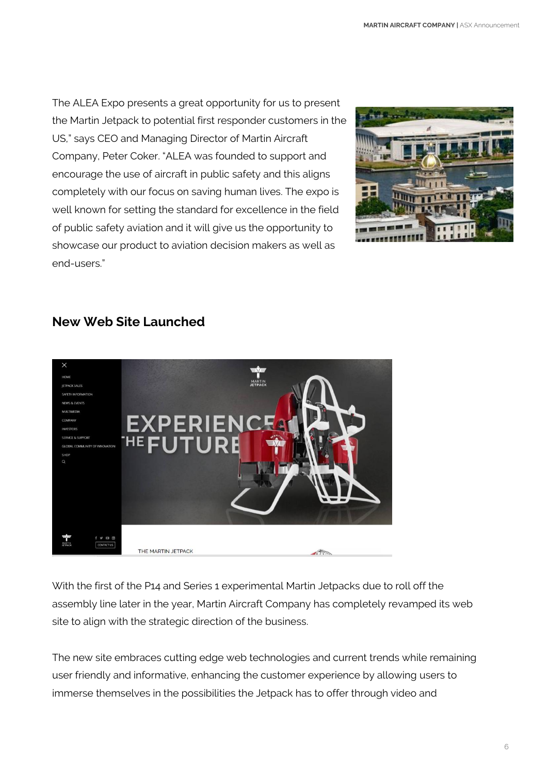The ALEA Expo presents a great opportunity for us to present the Martin Jetpack to potential first responder customers in the US," says CEO and Managing Director of Martin Aircraft Company, Peter Coker. "ALEA was founded to support and encourage the use of aircraft in public safety and this aligns completely with our focus on saving human lives. The expo is well known for setting the standard for excellence in the field of public safety aviation and it will give us the opportunity to showcase our product to aviation decision makers as well as end-users."



# **New Web Site Launched**



With the first of the P14 and Series 1 experimental Martin Jetpacks due to roll off the assembly line later in the year, Martin Aircraft Company has completely revamped its web site to align with the strategic direction of the business.

The new site embraces cutting edge web technologies and current trends while remaining user friendly and informative, enhancing the customer experience by allowing users to immerse themselves in the possibilities the Jetpack has to offer through video and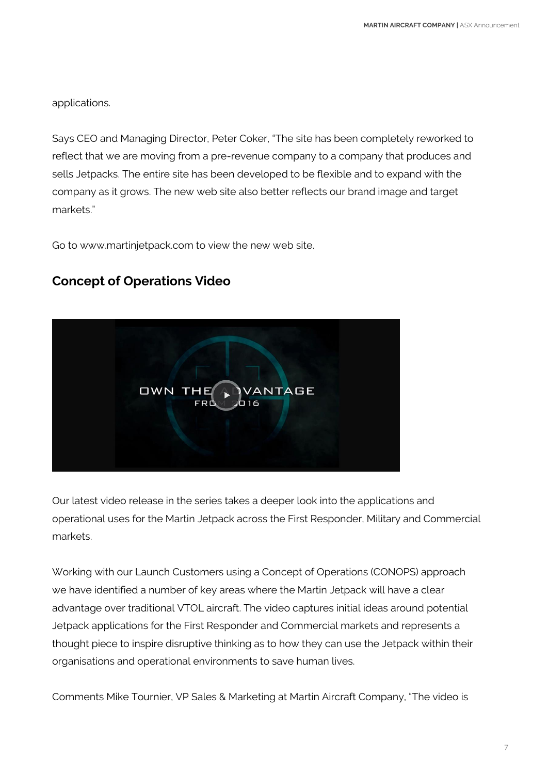applications.

Says CEO and Managing Director, Peter Coker, "The site has been completely reworked to reflect that we are moving from a pre-revenue company to a company that produces and sells Jetpacks. The entire site has been developed to be flexible and to expand with the company as it grows. The new web site also better reflects our brand image and target markets."

Go to www.martinjetpack.com to view the new web site.

### **Concept of Operations Video**



Our latest video release in the series takes a deeper look into the applications and operational uses for the Martin Jetpack across the First Responder, Military and Commercial markets.

Working with our Launch Customers using a Concept of Operations (CONOPS) approach we have identified a number of key areas where the Martin Jetpack will have a clear advantage over traditional VTOL aircraft. The video captures initial ideas around potential Jetpack applications for the First Responder and Commercial markets and represents a thought piece to inspire disruptive thinking as to how they can use the Jetpack within their organisations and operational environments to save human lives.

Comments Mike Tournier, VP Sales & Marketing at Martin Aircraft Company, "The video is